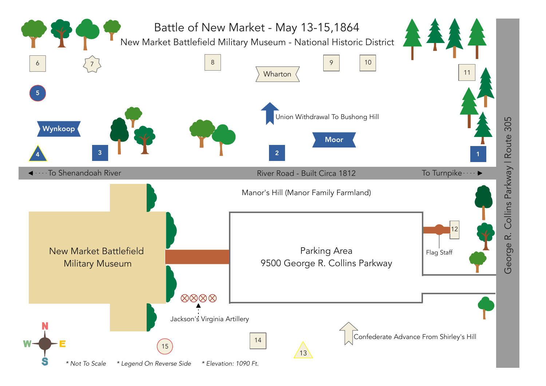